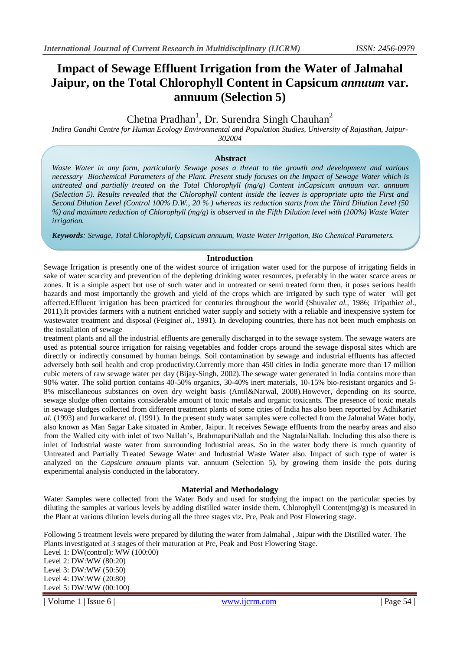# **Impact of Sewage Effluent Irrigation from the Water of Jalmahal Jaipur, on the Total Chlorophyll Content in Capsicum** *annuum* **var. annuum (Selection 5)**

# Chetna Pradhan<sup>1</sup>, Dr. Surendra Singh Chauhan<sup>2</sup>

*Indira Gandhi Centre for Human Ecology Environmental and Population Studies, University of Rajasthan, Jaipur-302004*

**Abstract**

*Waste Water in any form, particularly Sewage poses a threat to the growth and development and various necessary Biochemical Parameters of the Plant. Present study focuses on the Impact of Sewage Water which is untreated and partially treated on the Total Chlorophyll (mg/g) Content inCapsicum annuum var. annuum (Selection 5). Results revealed that the Chlorophyll content inside the leaves is appropriate upto the First and Second Dilution Level (Control 100% D.W., 20 % ) whereas its reduction starts from the Third Dilution Level (50 %) and maximum reduction of Chlorophyll (mg/g) is observed in the Fifth Dilution level with (100%) Waste Water irrigation.*

*Keywords: Sewage, Total Chlorophyll, Capsicum annuum, Waste Water Irrigation, Bio Chemical Parameters.*

#### **Introduction**

Sewage Irrigation is presently one of the widest source of irrigation water used for the purpose of irrigating fields in sake of water scarcity and prevention of the depleting drinking water resources, preferably in the water scarce areas or zones. It is a simple aspect but use of such water and in untreated or semi treated form then, it poses serious health hazards and most importantly the growth and yield of the crops which are irrigated by such type of water will get affected.Effluent irrigation has been practiced for centuries throughout the world (Shuval*et al.,* 1986; Tripathi*et al*., 2011).It provides farmers with a nutrient enriched water supply and society with a reliable and inexpensive system for wastewater treatment and disposal (Feigin*et al.,* 1991). In developing countries, there has not been much emphasis on the installation of sewage

treatment plants and all the industrial effluents are generally discharged in to the sewage system. The sewage waters are used as potential source irrigation for raising vegetables and fodder crops around the sewage disposal sites which are directly or indirectly consumed by human beings. Soil contamination by sewage and industrial effluents has affected adversely both soil health and crop productivity.Currently more than 450 cities in India generate more than 17 million cubic meters of raw sewage water per day (Bijay-Singh, 2002).The sewage water generated in India contains more than 90% water. The solid portion contains 40-50% organics, 30-40% inert materials, 10-15% bio-resistant organics and 5- 8% miscellaneous substances on oven dry weight basis (Antil&Narwal, 2008).However, depending on its source, sewage sludge often contains considerable amount of toxic metals and organic toxicants. The presence of toxic metals in sewage sludges collected from different treatment plants of some cities of India has also been reported by Adhikari*et al.* (1993) and Jurwarkar*et al*. (1991). In the present study water samples were collected from the Jalmahal Water body, also known as Man Sagar Lake situated in Amber, Jaipur. It receives Sewage effluents from the nearby areas and also from the Walled city with inlet of two Nallah's, BrahmapuriNallah and the NagtalaiNallah. Including this also there is inlet of Industrial waste water from surrounding Industrial areas. So in the water body there is much quantity of Untreated and Partially Treated Sewage Water and Industrial Waste Water also. Impact of such type of water is analyzed on the *Capsicum annuum* plants var. annuum (Selection 5), by growing them inside the pots during experimental analysis conducted in the laboratory.

#### **Material and Methodology**

Water Samples were collected from the Water Body and used for studying the impact on the particular species by diluting the samples at various levels by adding distilled water inside them. Chlorophyll Content(mg/g) is measured in the Plant at various dilution levels during all the three stages viz. Pre, Peak and Post Flowering stage.

Following 5 treatment levels were prepared by diluting the water from Jalmahal , Jaipur with the Distilled water. The Plants investigated at 3 stages of their maturation at Pre, Peak and Post Flowering Stage.

Level 1: DW(control): WW (100:00) Level 2: DW:WW (80:20) Level 3: DW:WW (50:50) Level 4: DW:WW (20:80) Level 5: DW:WW (00:100)

| Volume 1 | Issue 6 | www.ijcrm.com | Page 54 | Page 54 | Page 54 | Page 54 | Page 54 | Page 54 | Page 54 | Page 54 | Page 54 | Page 54 | Page 54 | Page 54 | Page 54 | Page 54 | Page 54 | Page 54 | Page 54 | Page 54 | Pag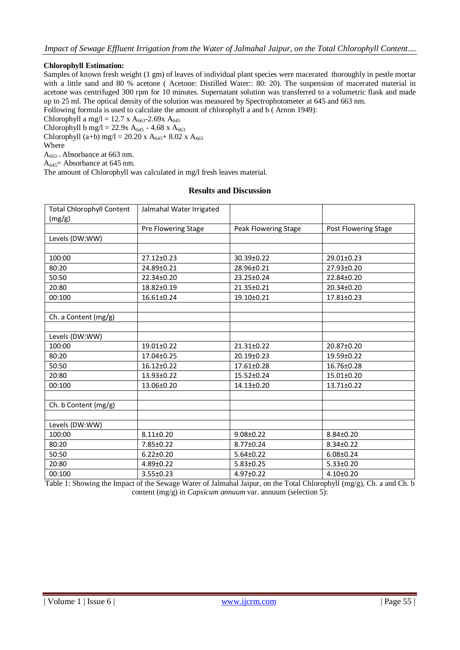## **Chlorophyll Estimation:**

Samples of known fresh weight (1 gm) of leaves of individual plant species were macerated thoroughly in pestle mortar with a little sand and 80 % acetone ( Acetone: Distilled Water:: 80: 20). The suspension of macerated material in acetone was centrifuged 300 rpm for 10 minutes. Supernatant solution was transferred to a volumetric flask and made up to 25 ml. The optical density of the solution was measured by Spectrophotometer at 645 and 663 nm.

Following formula is used to calculate the amount of chlorophyll a and b (Arnon 1949):

Chlorophyll a mg/l = 12.7 x A<sub>663</sub>-2.69x A<sub>645</sub>

Chlorophyll b mg/l = 22.9x A<sub>645</sub> - 4.68 x A<sub>663</sub>

Chlorophyll (a+b) mg/l = 20.20 x A<sub>645</sub>+ 8.02 x A<sub>663</sub>

Where

 $A_{663}$  = Absorbance at 663 nm.

 $A_{645}$  = Absorbance at 645 nm.

The amount of Chlorophyll was calculated in mg/l fresh leaves material.

## **Results and Discussion**

| <b>Total Chlorophyll Content</b><br>(mg/g) | Jalmahal Water Irrigated |                      |                      |
|--------------------------------------------|--------------------------|----------------------|----------------------|
|                                            | Pre Flowering Stage      | Peak Flowering Stage | Post Flowering Stage |
| Levels (DW:WW)                             |                          |                      |                      |
|                                            |                          |                      |                      |
| 100:00                                     | $27.12 \pm 0.23$         | 30.39±0.22           | 29.01±0.23           |
| 80:20                                      | 24.89±0.21               | 28.96±0.21           | 27.93±0.20           |
| 50:50                                      | 22.34±0.20               | 23.25±0.24           | 22.84±0.20           |
| 20:80                                      | 18.82±0.19               | 21.35±0.21           | 20.34±0.20           |
| 00:100                                     | 16.61±0.24               | 19.10±0.21           | $17.81 \pm 0.23$     |
|                                            |                          |                      |                      |
| Ch. a Content $(mg/g)$                     |                          |                      |                      |
|                                            |                          |                      |                      |
| Levels (DW:WW)                             |                          |                      |                      |
| 100:00                                     | 19.01±0.22               | 21.31±0.22           | 20.87±0.20           |
| 80:20                                      | 17.04±0.25               | 20.19±0.23           | 19.59±0.22           |
| 50:50                                      | 16.12±0.22               | 17.61±0.28           | 16.76±0.28           |
| 20:80                                      | 13.93±0.22               | 15.52±0.24           | $15.01 \pm 0.20$     |
| 00:100                                     | 13.06±0.20               | 14.13±0.20           | 13.71±0.22           |
|                                            |                          |                      |                      |
| Ch. b Content (mg/g)                       |                          |                      |                      |
|                                            |                          |                      |                      |
| Levels (DW:WW)                             |                          |                      |                      |
| 100:00                                     | $8.11 \pm 0.20$          | $9.08 \pm 0.22$      | 8.84±0.20            |
| 80:20                                      | 7.85±0.22                | 8.77±0.24            | $8.34 \pm 0.22$      |
| 50:50                                      | $6.22 \pm 0.20$          | $5.64 \pm 0.22$      | $6.08 \pm 0.24$      |
| 20:80                                      | $4.89 \pm 0.22$          | $5.83 \pm 0.25$      | $5.33 \pm 0.20$      |
| 00:100                                     | $3.55 \pm 0.23$          | $4.97 \pm 0.22$      | $4.10+0.20$          |

Table 1: Showing the Impact of the Sewage Water of Jalmahal Jaipur, on the Total Chlorophyll (mg/g), Ch. a and Ch. b content (mg/g) in *Capsicum annuum* var. annuum (selection 5):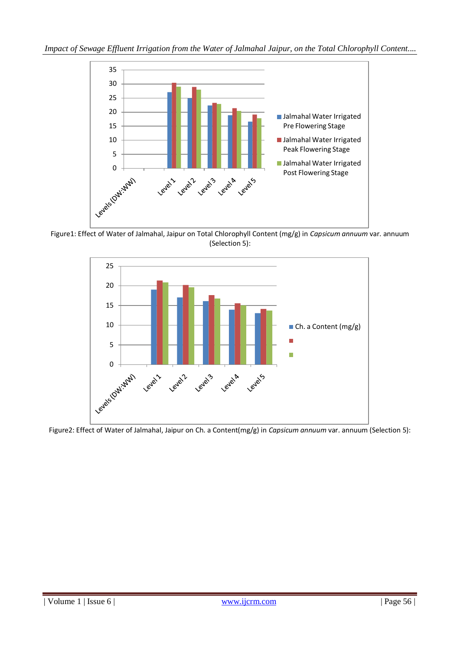

Figure1: Effect of Water of Jalmahal, Jaipur on Total Chlorophyll Content (mg/g) in *Capsicum annuum* var. annuum (Selection 5):



Figure2: Effect of Water of Jalmahal, Jaipur on Ch. a Content(mg/g) in *Capsicum annuum* var. annuum (Selection 5):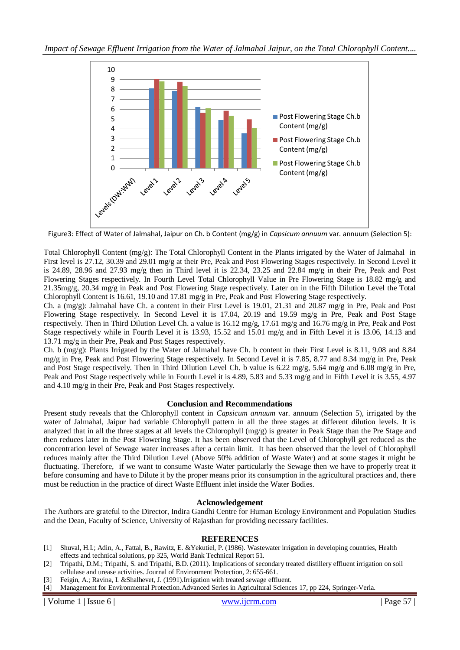

Figure3: Effect of Water of Jalmahal, Jaipur on Ch. b Content (mg/g) in *Capsicum annuum* var. annuum (Selection 5):

Total Chlorophyll Content (mg/g): The Total Chlorophyll Content in the Plants irrigated by the Water of Jalmahal in First level is 27.12, 30.39 and 29.01 mg/g at their Pre, Peak and Post Flowering Stages respectively. In Second Level it is 24.89, 28.96 and 27.93 mg/g then in Third level it is 22.34, 23.25 and 22.84 mg/g in their Pre, Peak and Post Flowering Stages respectively. In Fourth Level Total Chlorophyll Value in Pre Flowering Stage is 18.82 mg/g and 21.35mg/g, 20.34 mg/g in Peak and Post Flowering Stage respectively. Later on in the Fifth Dilution Level the Total Chlorophyll Content is 16.61, 19.10 and 17.81 mg/g in Pre, Peak and Post Flowering Stage respectively.

Ch. a (mg/g): Jalmahal have Ch. a content in their First Level is 19.01, 21.31 and 20.87 mg/g in Pre, Peak and Post Flowering Stage respectively. In Second Level it is 17.04, 20.19 and 19.59 mg/g in Pre, Peak and Post Stage respectively. Then in Third Dilution Level Ch. a value is 16.12 mg/g, 17.61 mg/g and 16.76 mg/g in Pre, Peak and Post Stage respectively while in Fourth Level it is 13.93, 15.52 and 15.01 mg/g and in Fifth Level it is 13.06, 14.13 and 13.71 mg/g in their Pre, Peak and Post Stages respectively.

Ch. b (mg/g): Plants Irrigated by the Water of Jalmahal have Ch. b content in their First Level is 8.11, 9.08 and 8.84 mg/g in Pre, Peak and Post Flowering Stage respectively. In Second Level it is 7.85, 8.77 and 8.34 mg/g in Pre, Peak and Post Stage respectively. Then in Third Dilution Level Ch. b value is 6.22 mg/g, 5.64 mg/g and 6.08 mg/g in Pre, Peak and Post Stage respectively while in Fourth Level it is 4.89, 5.83 and 5.33 mg/g and in Fifth Level it is 3.55, 4.97 and 4.10 mg/g in their Pre, Peak and Post Stages respectively.

## **Conclusion and Recommendations**

Present study reveals that the Chlorophyll content in *Capsicum annuum* var. annuum (Selection 5), irrigated by the water of Jalmahal, Jaipur had variable Chlorophyll pattern in all the three stages at different dilution levels. It is analyzed that in all the three stages at all levels the Chlorophyll  $(mg/g)$  is greater in Peak Stage than the Pre Stage and then reduces later in the Post Flowering Stage. It has been observed that the Level of Chlorophyll get reduced as the concentration level of Sewage water increases after a certain limit. It has been observed that the level of Chlorophyll reduces mainly after the Third Dilution Level (Above 50% addition of Waste Water) and at some stages it might be fluctuating. Therefore, if we want to consume Waste Water particularly the Sewage then we have to properly treat it before consuming and have to Dilute it by the proper means prior its consumption in the agricultural practices and, there must be reduction in the practice of direct Waste Effluent inlet inside the Water Bodies.

## **Acknowledgement**

The Authors are grateful to the Director, Indira Gandhi Centre for Human Ecology Environment and Population Studies and the Dean, Faculty of Science, University of Rajasthan for providing necessary facilities.

## **REFERENCES**

- [1] Shuval, H.I.; Adin, A., Fattal, B., Rawitz, E. &Yekutiel, P. (1986). Wastewater irrigation in developing countries, Health effects and technical solutions, pp 325, World Bank Technical Report 51.
- [2] Tripathi, D.M.; Tripathi, S. and Tripathi, B.D. (2011). Implications of secondary treated distillery effluent irrigation on soil cellulase and urease activities. Journal of Environment Protection, 2: 655-661.
- [3] Feigin, A.; Ravina, I. &Shalhevet, J. (1991).Irrigation with treated sewage effluent.
- [4] Management for Environmental Protection.Advanced Series in Agricultural Sciences 17, pp 224, Springer-Verla.